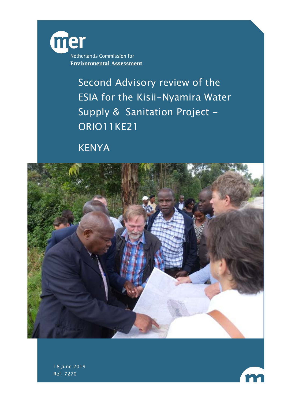

Second Advisory review of the ESIA for the Kisii-Nyamira Water Supply & Sanitation Project -ORIO11KE21

KENYA





18 June 2019 Ref: 7270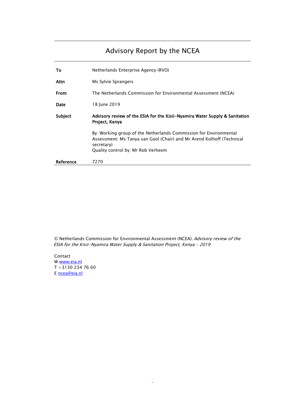# Advisory Report by the NCEA

| Тο        | Netherlands Enterprise Agency (RVO)                                                                                                                                                            |
|-----------|------------------------------------------------------------------------------------------------------------------------------------------------------------------------------------------------|
| Attn      | Ms Sylvie Sprangers                                                                                                                                                                            |
| From      | The Netherlands Commission for Environmental Assessment (NCEA)                                                                                                                                 |
| Date      | 18 June 2019                                                                                                                                                                                   |
| Subject   | Advisory review of the ESIA for the Kisii–Nyamira Water Supply & Sanitation<br>Project, Kenya                                                                                                  |
|           | By: Working group of the Netherlands Commission for Environmental<br>Assessment: Ms Tanya van Gool (Chair) and Mr Arend Kolhoff (Technical<br>secretary)<br>Quality control by: Mr Rob Verheem |
| Reference | 7270                                                                                                                                                                                           |

© Netherlands Commission for Environmental Assessment (NCEA). Advisory review of the ESIA for the Kisii-Nyamira Water Supply & Sanitation Project, Kenya – 2019

-

Contact W [www.eia.nl](http://www.eia.nl/) T +3130 234 76 60 E [ncea@eia.nl](mailto:ncea@eia.nl)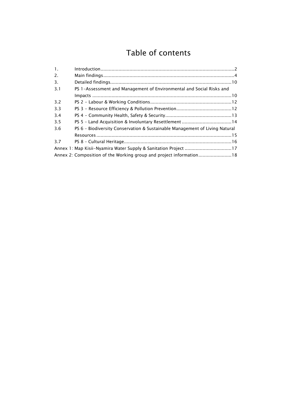# Table of contents

| 1.  |                                                                             |  |
|-----|-----------------------------------------------------------------------------|--|
| 2.  |                                                                             |  |
| 3.  |                                                                             |  |
| 3.1 | PS 1-Assessment and Management of Environmental and Social Risks and        |  |
|     |                                                                             |  |
| 3.2 |                                                                             |  |
| 3.3 |                                                                             |  |
| 3.4 |                                                                             |  |
| 3.5 |                                                                             |  |
| 3.6 | PS 6 - Biodiversity Conservation & Sustainable Management of Living Natural |  |
|     |                                                                             |  |
| 3.7 |                                                                             |  |
|     | Annex 1: Map Kisii-Nyamira Water Supply & Sanitation Project 17             |  |
|     |                                                                             |  |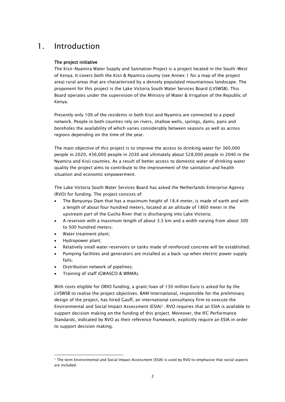# <span id="page-3-0"></span>1. Introduction

### The project initiative

The Kisii-Nyamira Water Supply and Sanitation Project is a project located in the South-West of Kenya. It covers both the Kisii & Nyamira county (see Annex 1 for a map of the project area) rural areas that are characterised by a densely populated mountainous landscape. The proponent for this project is the Lake Victoria South Water Services Board (LVSWSB). This Board operates under the supervision of the Ministry of Water & Irrigation of the Republic of Kenya.

Presently only 10% of the residents in both Kisii and Nyamira are connected to a piped network. People in both counties rely on rivers, shallow wells, springs, dams, pans and boreholes the availability of which varies considerably between seasons as well as across regions depending on the time of the year.

The main objective of this project is to improve the access to drinking water for 360,000 people in 2020, 436,000 people in 2030 and ultimately about 528,000 people in 2040 in the Nyamira and Kisii counties. As a result of better access to domestic water of drinking water quality the project aims to contribute to the improvement of the sanitation and health situation and economic empowerment.

The Lake Victoria South Water Services Board has asked the Netherlands Enterprise Agency (RVO) for funding. The project consists of:

- The Bonyunyu Dam that has a maximum height of 18.4 meter, is made of earth and with a length of about four hundred meters, located at an altitude of 1860 meter in the upstream part of the Gucha River that is discharging into Lake Victoria;
- A reservoir with a maximum length of about 3.5 km and a width varying from about 300 to 500 hundred meters;
- Water treatment plant;
- Hydropower plant;

j

- Relatively small water reservoirs or tanks made of reinforced concrete will be established;
- Pumping facilities and generators are installed as a back-up when electric power supply fails;
- Distribution network of pipelines;
- Training of staff (GWASCO & WRMA).

With costs eligible for ORIO funding, a grant/loan of 130 million Euro is asked for by the LVSWSB to realise the project objectives. BAM International, responsible for the preliminary design of the project, has hired Gauff, an international consultancy firm to execute the Environmental and Social Impact Assessment (ESIA)[1.](#page-3-1) RVO requires that an ESIA is available to support decision making on the funding of this project. Moreover, the IFC Performance Standards, indicated by RVO as their reference framework, explicitly require an ESIA in order to support decision making.

<span id="page-3-1"></span><sup>1</sup> The term Environmental and Social Impact Assessment (ESIA) is used by RVO to emphasise that social aspects are included.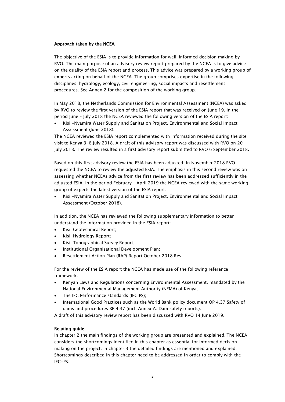#### Approach taken by the NCEA

The objective of the ESIA is to provide information for well-informed decision making by RVO. The main purpose of an advisory review report prepared by the NCEA is to give advice on the quality of the ESIA report and process. This advice was prepared by a working group of experts acting on behalf of the NCEA. The group comprises expertise in the following disciplines: hydrology, ecology, civil engineering, social impacts and resettlement procedures. See Annex 2 for the composition of the working group.

In May 2018, the Netherlands Commission for Environmental Assessment (NCEA) was asked by RVO to review the first version of the ESIA report that was received on June 19. In the period June – July 2018 the NCEA reviewed the following version of the ESIA report:

• Kisii-Nyamira Water Supply and Sanitation Project, Environmental and Social Impact Assessment (June 2018).

The NCEA reviewed the ESIA report complemented with information received during the site visit to Kenya 3-6 July 2018. A draft of this advisory report was discussed with RVO on 20 July 2018. The review resulted in a first advisory report submitted to RVO 6 September 2018.

Based on this first advisory review the ESIA has been adjusted. In November 2018 RVO requested the NCEA to review the adjusted ESIA. The emphasis in this second review was on assessing whether NCEAs advice from the first review has been addressed sufficiently in the adjusted ESIA. In the period February – April 2019 the NCEA reviewed with the same working group of experts the latest version of the ESIA report:

• Kisii-Nyamira Water Supply and Sanitation Project, Environmental and Social Impact Assessment (October 2018).

In addition, the NCEA has reviewed the following supplementary information to better understand the information provided in the ESIA report:

- Kisii Geotechnical Report;
- Kisii Hydrology Report;
- Kisii Topographical Survey Report;
- Institutional Organisational Development Plan;
- Resettlement Action Plan (RAP) Report October 2018 Rev.

For the review of the ESIA report the NCEA has made use of the following reference framework:

- Kenyan Laws and Regulations concerning Environmental Assessment, mandated by the National Environmental Management Authority (NEMA) of Kenya;
- The IFC Performance standards (IFC PS);
- International Good Practices such as the World Bank policy document OP 4.37 Safety of dams and procedures BP 4.37 (incl. Annex A: Dam safety reports).

A draft of this advisory review report has been discussed with RVO 14 June 2019.

#### Reading guide

In chapter 2 the main findings of the working group are presented and explained. The NCEA considers the shortcomings identified in this chapter as essential for informed decisionmaking on the project. In chapter 3 the detailed findings are mentioned and explained. Shortcomings described in this chapter need to be addressed in order to comply with the IFC-PS.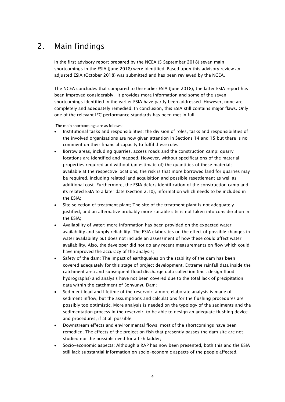# <span id="page-5-0"></span>2. Main findings

In the first advisory report prepared by the NCEA (5 September 2018) seven main shortcomings in the ESIA (June 2018) were identified. Based upon this advisory review an adjusted ESIA (October 2018) was submitted and has been reviewed by the NCEA.

The NCEA concludes that compared to the earlier ESIA (June 2018), the latter ESIA report has been improved considerably. It provides more information and some of the seven shortcomings identified in the earlier ESIA have partly been addressed. However, none are completely and adequately remedied. In conclusion, this ESIA still contains major flaws. Only one of the relevant IFC performance standards has been met in full.

The main shortcomings are as follows:

- Institutional tasks and responsibilities: the division of roles, tasks and responsibilities of the involved organisations are now given attention in Sections 14 and 15 but there is no comment on their financial capacity to fulfil these roles;
- Borrow areas, including quarries, access roads and the construction camp: quarry locations are identified and mapped. However, without specifications of the material properties required and without (an estimate of) the quantities of these materials available at the respective locations, the risk is that more borrowed land for quarries may be required, including related land acquisition and possible resettlement as well as additional cost. Furthermore, the ESIA defers identification of the construction camp and its related ESIA to a later date (Section 2.10), information which needs to be included in the ESIA;
- Site selection of treatment plant; The site of the treatment plant is not adequately justified, and an alternative probably more suitable site is not taken into consideration in the ESIA;
- Availability of water: more information has been provided on the expected water availability and supply reliability. The ESIA elaborates on the effect of possible changes in water availability but does not include an assessment of how these could affect water availability. Also, the developer did not do any recent measurements on flow which could have improved the accuracy of the analysis;
- Safety of the dam: The impact of earthquakes on the stability of the dam has been covered adequately for this stage of project development. Extreme rainfall data inside the catchment area and subsequent flood discharge data collection (incl. design flood hydrographs) and analysis have not been covered due to the total lack of precipitation data within the catchment of Bonyunyu Dam;
- Sediment load and lifetime of the reservoir: a more elaborate analysis is made of sediment inflow, but the assumptions and calculations for the flushing procedures are possibly too optimistic. More analysis is needed on the typology of the sediments and the sedimentation process in the reservoir, to be able to design an adequate flushing device and procedures, if at all possible;
- Downstream effects and environmental flows: most of the shortcomings have been remedied. The effects of the project on fish that presently passes the dam site are not studied nor the possible need for a fish ladder;
- Socio-economic aspects: Although a RAP has now been presented, both this and the ESIA still lack substantial information on socio-economic aspects of the people affected.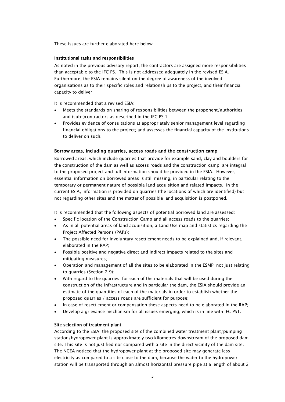These issues are further elaborated here below.

#### Institutional tasks and responsibilities

As noted in the previous advisory report, the contractors are assigned more responsibilities than acceptable to the IFC PS. This is not addressed adequately in the revised ESIA. Furthermore, the ESIA remains silent on the degree of awareness of the involved organisations as to their specific roles and relationships to the project, and their financial capacity to deliver.

It is recommended that a revised ESIA:

- Meets the standards on sharing of responsibilities between the proponent/authorities and (sub-)contractors as described in the IFC PS 1.
- Provides evidence of consultations at appropriately senior management level regarding financial obligations to the project; and assesses the financial capacity of the institutions to deliver on such.

### Borrow areas, including quarries, access roads and the construction camp

Borrowed areas, which include quarries that provide for example sand, clay and boulders for the construction of the dam as well as access roads and the construction camp, are integral to the proposed project and full information should be provided in the ESIA. However, essential information on borrowed areas is still missing, in particular relating to the temporary or permanent nature of possible land acquisition and related impacts. In the current ESIA, information is provided on quarries (the locations of which are identified) but not regarding other sites and the matter of possible land acquisition is postponed.

It is recommended that the following aspects of potential borrowed land are assessed:

- Specific location of the Construction Camp and all access roads to the quarries;
- As in all potential areas of land acquisition, a Land Use map and statistics regarding the Project Affected Persons (PAPs);
- The possible need for involuntary resettlement needs to be explained and, if relevant, elaborated in the RAP;
- Possible positive and negative direct and indirect impacts related to the sites and mitigating measures;
- Operation and management of all the sites to be elaborated in the ESMP, not just relating to quarries (Section 2.9);
- With regard to the quarries: for each of the materials that will be used during the construction of the infrastructure and in particular the dam, the ESIA should provide an estimate of the quantities of each of the materials in order to establish whether the proposed quarries / access roads are sufficient for purpose;
- In case of resettlement or compensation these aspects need to be elaborated in the RAP;
- Develop a grievance mechanism for all issues emerging, which is in line with IFC PS1.

### Site selection of treatment plant

According to the ESIA, the proposed site of the combined water treatment plant/pumping station/hydropower plant is approximately two kilometres downstream of the proposed dam site. This site is not justified nor compared with a site in the direct vicinity of the dam site. The NCEA noticed that the hydropower plant at the proposed site may generate less electricity as compared to a site close to the dam, because the water to the hydropower station will be transported through an almost horizontal pressure pipe at a length of about 2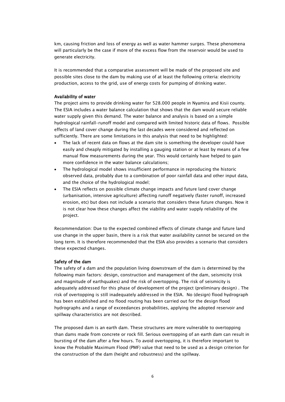km, causing friction and loss of energy as well as water hammer surges. These phenomena will particularly be the case if more of the excess flow from the reservoir would be used to generate electricity.

It is recommended that a comparative assessment will be made of the proposed site and possible sites close to the dam by making use of at least the following criteria: electricity production, access to the grid, use of energy costs for pumping of drinking water.

#### Availability of water

The project aims to provide drinking water for 528.000 people in Nyamira and Kisii county. The ESIA includes a water balance calculation that shows that the dam would secure reliable water supply given this demand. The water balance and analysis is based on a simple hydrological rainfall-runoff model and compared with limited historic data of flows. Possible effects of land cover change during the last decades were considered and reflected on sufficiently. There are some limitations in this analysis that need to be highlighted:

- The lack of recent data on flows at the dam site is something the developer could have easily and cheaply mitigated by installing a gauging station or at least by means of a few manual flow measurements during the year. This would certainly have helped to gain more confidence in the water balance calculations;
- The hydrological model shows insufficient performance in reproducing the historic observed data, probably due to a combination of poor rainfall data and other input data, and the choice of the hydrological model;
- The ESIA reflects on possible climate change impacts and future land cover change (urbanisation, intensive agriculture) affecting runoff negatively (faster runoff, increased erosion, etc) but does not include a scenario that considers these future changes. Now it is not clear how these changes affect the viability and water supply reliability of the project.

Recommendation: Due to the expected combined effects of climate change and future land use change in the upper basin, there is a risk that water availability cannot be secured on the long term. It is therefore recommended that the ESIA also provides a scenario that considers these expected changes.

#### Safety of the dam

The safety of a dam and the population living downstream of the dam is determined by the following main factors: design, construction and management of the dam, seismicity (risk and magnitude of earthquakes) and the risk of overtopping. The risk of seismicity is adequately addressed for this phase of development of the project (preliminary design) . The risk of overtopping is still inadequately addressed in the ESIA. No (design) flood hydrograph has been established and no flood routing has been carried out for the design flood hydrographs and a range of exceedances probabilities, applying the adopted reservoir and spillway characteristics are not described.

The proposed dam is an earth dam. These structures are more vulnerable to overtopping than dams made from concrete or rock fill. Serious overtopping of an earth dam can result in bursting of the dam after a few hours. To avoid overtopping, it is therefore important to know the Probable Maximum Flood (PMF) value that need to be used as a design criterion for the construction of the dam (height and robustness) and the spillway.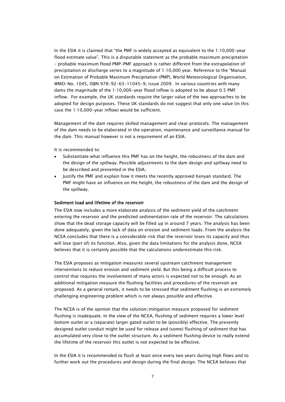In the ESIA it is claimed that "the PMF is widely accepted as equivalent to the 1:10,000-year flood estimate value". This is a disputable statement as the probable maximum precipitation – probable maximum flood PMP-PMF approach is rather different from the extrapolation of precipitation or discharge series to a magnitude of 1:10,000 year. Reference to the "Manual on Estimation of Probable Maximum Precipitation (PMP), World Meteorological Organisation, WMO-No. 1045, ISBN 978-92-63-11045-9, issue 2009. In various countries with many dams the magnitude of the 1:10,000-year flood inflow is adopted to be about 0.5 PMF inflow. For example, the UK standards require the larger value of the two approaches to be adopted for design purposes. These UK standards do not suggest that only one value (in this case the 1:10,000-year inflow) would be sufficient.

Management of the dam requires skilled management and clear protocols. The management of the dam needs to be elaborated in the operation, maintenance and surveillance manual for the dam. This manual however is not a requirement of an ESIA.

It is recommended to:

- Substantiate what influence this PMF has on the height, the robustness of the dam and the design of the spillway. Possible adjustments to the dam design and spillway need to be described and presented in the ESIA;
- Justify the PMF and explain how it meets the recently approved Kenyan standard. The PMF might have an influence on the height, the robustness of the dam and the design of the spillway.

#### Sediment load and lifetime of the reservoir

The ESIA now includes a more elaborate analysis of the sediment yield of the catchment entering the reservoir and the predicted sedimentation rate of the reservoir. The calculations show that the dead storage capacity will be filled up in around 7 years. The analysis has been done adequately, given the lack of data on erosion and sediment loads. From the analysis the NCEA concludes that there is a considerable risk that the reservoir loses its capacity and thus will lose (part of) its function. Also, given the data limitations for the analysis done, NCEA believes that it is certainly possible that the calculations underestimate this risk.

The ESIA proposes as mitigation measures several upstream catchment management interventions to reduce erosion and sediment yield. But this being a difficult process to control that requires the involvement of many actors is expected not to be enough. As an additional mitigation measure the flushing facilities and procedures of the reservoir are proposed. As a general remark, it needs to be stressed that sediment flushing is an extremely challenging engineering problem which is not always possible and effective.

The NCEA is of the opinion that the solution/mitigation measure proposed for sediment flushing is inadequate. In the view of the NCEA, flushing of sediment requires a lower level bottom outlet or a (separate) larger gated outlet to be (possibly) effective. The presently designed outlet conduit might be used for release and (some) flushing of sediment that has accumulated very close to the outlet structure. As a sediment flushing device to really extend the lifetime of the reservoir this outlet is not expected to be effective.

In the ESIA it is recommended to flush at least once every two years during high flows and to further work out the procedures and design during the final design. The NCEA believes that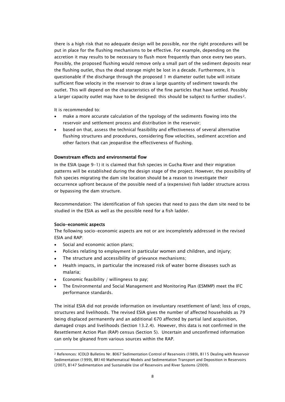there is a high risk that no adequate design will be possible, nor the right procedures will be put in place for the flushing mechanisms to be effective. For example, depending on the accretion it may results to be necessary to flush more frequently than once every two years. Possibly, the proposed flushing would remove only a small part of the sediment deposits near the flushing outlet, thus the dead storage might be lost in a decade. Furthermore, it is questionable if the discharge through the proposed 1 m diameter outlet tube will initiate sufficient flow velocity in the reservoir to draw a large quantity of sediment towards the outlet. This will depend on the characteristics of the fine particles that have settled. Possibly a larger capacity outlet may have to be designed: this should be subject to further studies[2.](#page-9-0)

It is recommended to:

- make a more accurate calculation of the typology of the sediments flowing into the reservoir and settlement process and distribution in the reservoir;
- based on that, assess the technical feasibility and effectiveness of several alternative flushing structures and procedures, considering flow velocities, sediment accretion and other factors that can jeopardise the effectiveness of flushing.

### Downstream effects and environmental flow

In the ESIA (page 9-1) it is claimed that fish species in Gucha River and their migration patterns will be established during the design stage of the project. However, the possibility of fish species migrating the dam site location should be a reason to investigate their occurrence upfront because of the possible need of a (expensive) fish ladder structure across or bypassing the dam structure.

Recommendation: The identification of fish species that need to pass the dam site need to be studied in the ESIA as well as the possible need for a fish ladder.

#### Socio-economic aspects

j

The following socio-economic aspects are not or are incompletely addressed in the revised ESIA and RAP:

- Social and economic action plans;
- Policies relating to employment in particular women and children, and injury;
- The structure and accessibility of grievance mechanisms;
- Health impacts, in particular the increased risk of water borne diseases such as malaria;
- Economic feasibility / willingness to pay;
- The Environmental and Social Management and Monitoring Plan (ESMMP) meet the IFC performance standards.

The initial ESIA did not provide information on involuntary resettlement of land; loss of crops, structures and livelihoods. The revised ESIA gives the number of affected households as 79 being displaced permanently and an additional 670 affected by partial land acquisition, damaged crops and livelihoods (Section 13.2.4). However, this data is not confirmed in the Resettlement Action Plan (RAP) census (Section 5). Uncertain and unconfirmed information can only be gleaned from various sources within the RAP.

<span id="page-9-0"></span><sup>2</sup> References: ICOLD Bulletins Nr. B067 Sedimentation Control of Reservoirs (1989), B115 Dealing with Reservoir Sedimentation (1999), BR140 Mathematical Models and Sedimentation Transport and Deposition in Reservoirs (2007), B147 Sedimentation and Sustainable Use of Reservoirs and River Systems (2009).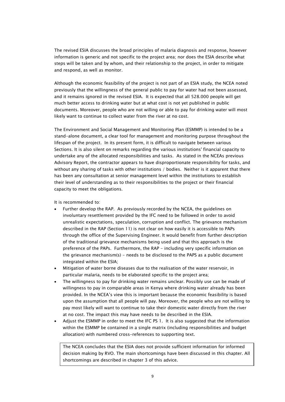The revised ESIA discusses the broad principles of malaria diagnosis and response, however information is generic and not specific to the project area; nor does the ESIA describe what steps will be taken and by whom, and their relationship to the project, in order to mitigate and respond, as well as monitor.

Although the economic feasibility of the project is not part of an ESIA study, the NCEA noted previously that the willingness of the general public to pay for water had not been assessed, and it remains ignored in the revised ESIA. It is expected that all 528.000 people will get much better access to drinking water but at what cost is not yet published in public documents. Moreover, people who are not willing or able to pay for drinking water will most likely want to continue to collect water from the river at no cost.

The Environment and Social Management and Monitoring Plan (ESMMP) is intended to be a stand-alone document, a clear tool for management and monitoring purpose throughout the lifespan of the project. In its present form, it is difficult to navigate between various Sections. It is also silent on remarks regarding the various institutions' financial capacity to undertake any of the allocated responsibilities and tasks. As stated in the NCEAs previous Advisory Report, the contractor appears to have disproportionate responsibility for tasks, and without any sharing of tasks with other institutions / bodies. Neither is it apparent that there has been any consultation at senior management level within the institutions to establish their level of understanding as to their responsibilities to the project or their financial capacity to meet the obligations.

It is recommended to:

- Further develop the RAP. As previously recorded by the NCEA, the guidelines on involuntary resettlement provided by the IFC need to be followed in order to avoid unrealistic expectations, speculation, corruption and conflict. The grievance mechanism described in the RAP (Section 11) is not clear on how easily it is accessible to PAPs through the office of the Supervising Engineer. It would benefit from further description of the traditional grievance mechanisms being used and that this approach is the preference of the PAPs. Furthermore, the RAP - including very specific information on the grievance mechanism(s) - needs to be disclosed to the PAPS as a public document integrated within the ESIA;
- Mitigation of water borne diseases due to the realisation of the water reservoir, in particular malaria, needs to be elaborated specific to the project area;
- The willingness to pay for drinking water remains unclear. Possibly use can be made of willingness to pay in comparable areas in Kenya where drinking water already has been provided. In the NCEA's view this is important because the economic feasibility is based upon the assumption that all people will pay. Moreover, the people who are not willing to pay most likely will want to continue to take their domestic water directly from the river at no cost. The impact this may have needs to be described in the ESIA.
- Adjust the ESMMP in order to meet the IFC PS 1. It is also suggested that the information within the ESMMP be contained in a single matrix (including responsibilities and budget allocation) with numbered cross-references to supporting text.

The NCEA concludes that the ESIA does not provide sufficient information for informed decision making by RVO. The main shortcomings have been discussed in this chapter. All shortcomings are described in chapter 3 of this advice.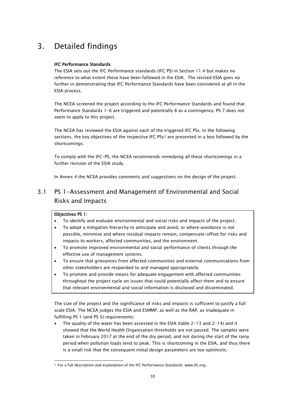# <span id="page-11-0"></span>3. Detailed findings

### IFC Performance Standards

The ESIA sets out the IFC Performance standards (IFC PS) in Section 11.4 but makes no reference to what extent these have been followed in the ESIA. The revised ESIA goes no further in demonstrating that IFC Performance Standards have been considered at all in the ESIA process.

The NCEA screened the project according to the IFC Performance Standards and found that Performance Standards 1-6 are triggered and potentially 8 as a contingency. PS 7 does not seem to apply to this project.

The NCEA has reviewed the ESIA against each of the triggered IFC PSs. In the following sections, the key objectives of the respective IFC PSs<sup>[3](#page-11-2)</sup> are presented in a box followed by the shortcomings.

To comply with the IFC-PS, the NCEA recommends remedying all these shortcomings in a further revision of the ESIA study.

In Annex 4 the NCEA provides comments and suggestions on the design of the project.

# <span id="page-11-1"></span>3.1 PS 1-Assessment and Management of Environmental and Social Risks and Impacts

### Objectives PS 1:

 $\overline{a}$ 

- To identify and evaluate environmental and social risks and impacts of the project.
- To adopt a mitigation hierarchy to anticipate and avoid, or where avoidance is not possible, minimise and where residual impacts remain, compensate/offset for risks and impacts to workers, affected communities, and the environment.
- To promote improved environmental and social performance of clients through the effective use of management systems.
- To ensure that grievances from affected communities and external communications from other stakeholders are responded to and managed appropriately.
- To promote and provide means for adequate engagement with affected communities throughout the project cycle on issues that could potentially affect them and to ensure that relevant environmental and social information is disclosed and disseminated.

The size of the project and the significance of risks and impacts is sufficient to justify a full scale ESIA. The NCEA judges the ESIA and ESMMP, as well as the RAP, as inadequate in fulfilling PS 1 (and PS 5) requirements:

• The quality of the water has been assessed in the ESIA (table 2-13 and 2-14) and it showed that the World Health Organisation thresholds are not passed. The samples were taken in February 2017 at the end of the dry period, and not during the start of the rainy period when pollution loads tend to peak. This is shortcoming in the ESIA, and thus there is a small risk that the consequent initial design parameters are too optimistic.

<span id="page-11-2"></span><sup>&</sup>lt;sup>3</sup> For a full description and explanation of the IFC Performance Standards: [www.ifc.org.](http://www.ifc.org/)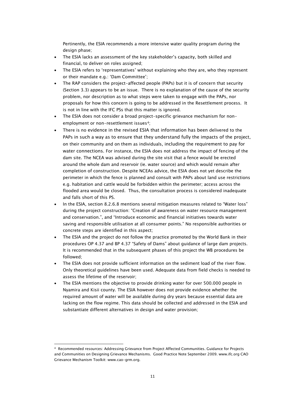Pertinently, the ESIA recommends a more intensive water quality program during the design phase;

- The ESIA lacks an assessment of the key stakeholder's capacity, both skilled and financial, to deliver on roles assigned;
- The ESIA refers to 'representatives' without explaining who they are, who they represent or their mandate e.g.: 'Dam Committee';
- The RAP considers the project-affected people (PAPs) but it is of concern that security (Section 3.3) appears to be an issue. There is no explanation of the cause of the security problem, nor description as to what steps were taken to engage with the PAPs, nor proposals for how this concern is going to be addressed in the Resettlement process. It is not in line with the IFC PSs that this matter is ignored.
- The ESIA does not consider a broad project-specific grievance mechanism for nonemployment or non-resettlement issues<sup>4</sup>;
- There is no evidence in the revised ESIA that information has been delivered to the PAPs in such a way as to ensure that they understand fully the impacts of the project, on their community and on them as individuals, including the requirement to pay for water connections. For instance, the ESIA does not address the impact of fencing of the dam site. The NCEA was advised during the site visit that a fence would be erected around the whole dam and reservoir (ie. water source) and which would remain after completion of construction. Despite NCEAs advice, the ESIA does not yet describe the perimeter in which the fence is planned and consult with PAPs about land use restrictions e.g. habitation and cattle would be forbidden within the perimeter; access across the flooded area would be closed. Thus, the consultation process is considered inadequate and falls short of this PS.
- In the ESIA, section 8.2.6.8 mentions several mitigation measures related to "Water loss" during the project construction: "Creation of awareness on water resource management and conservation.", and "Introduce economic and financial initiatives towards water saving and responsible utilisation at all consumer points." No responsible authorities or concrete steps are identified in this aspect;
- The ESIA and the project do not follow the practice promoted by the World Bank in their procedures OP 4.37 and BP 4.37 "Safety of Dams" about guidance of large dam projects. It is recommended that in the subsequent phases of this project the WB procedures be followed;
- The ESIA does not provide sufficient information on the sediment load of the river flow. Only theoretical guidelines have been used. Adequate data from field checks is needed to assess the lifetime of the reservoir;
- The ESIA mentions the objective to provide drinking water for over 500.000 people in Nyamira and Kisii county. The ESIA however does not provide evidence whether the required amount of water will be available during dry years because essential data are lacking on the flow regime. This data should be collected and addressed in the ESIA and substantiate different alternatives in design and water provision;

 $\overline{a}$ 

<span id="page-12-0"></span><sup>4</sup> Recommended resources: Addressing Grievance from Project Affected Communities. Guidance for Projects and Communities on Designing Grievance Mechanisms. Good Practice Note September 2009. [www.ifc.org](http://www.ifc.org/) CAO Grievance Mechanism Toolkit: [www.cao-grm.org.](http://www.cao-grm.org/)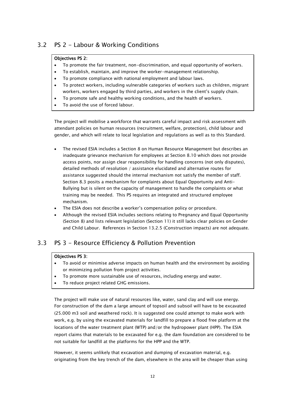## <span id="page-13-0"></span>3.2 PS 2 - Labour & Working Conditions

### Objectives PS 2:

- To promote the fair treatment, non-discrimination, and equal opportunity of workers.
- To establish, maintain, and improve the worker-management relationship.
- To promote compliance with national employment and labour laws.
- To protect workers, including vulnerable categories of workers such as children, migrant workers, workers engaged by third parties, and workers in the client's supply chain.
- To promote safe and healthy working conditions, and the health of workers.
- To avoid the use of forced labour.

The project will mobilise a workforce that warrants careful impact and risk assessment with attendant policies on human resources (recruitment, welfare, protection), child labour and gender, and which will relate to local legislation and regulations as well as to this Standard.

- The revised ESIA includes a Section 8 on Human Resource Management but describes an inadequate grievance mechanism for employees at Section 8.10 which does not provide access points, nor assign clear responsibility for handling concerns (not only disputes), detailed methods of resolution / assistance elucidated and alternative routes for assistance suggested should the internal mechanism not satisfy the member of staff. Section 8.3 posits a mechanism for complaints about Equal Opportunity and Anti-Bullying but is silent on the capacity of management to handle the complaints or what training may be needed. This PS requires an integrated and structured employee mechanism.
- The ESIA does not describe a worker's compensation policy or procedure.
- Although the revised ESIA includes sections relating to Pregnancy and Equal Opportunity (Section 8) and lists relevant legislation (Section 11) it still lacks clear policies on Gender and Child Labour. References in Section 13.2.5 (Construction impacts) are not adequate.

## <span id="page-13-1"></span>3.3 PS 3 - Resource Efficiency & Pollution Prevention

### Objectives PS 3:

- To avoid or minimise adverse impacts on human health and the environment by avoiding or minimizing pollution from project activities.
- To promote more sustainable use of resources, including energy and water.
- To reduce project related GHG emissions.

The project will make use of natural resources like, water, sand clay and will use energy. For construction of the dam a large amount of topsoil and subsoil will have to be excavated (25.000 m3 soil and weathered rock). It is suggested one could attempt to make work with work, e.g. by using the excavated materials for landfill to prepare a flood free platform at the locations of the water treatment plant (WTP) and/or the hydropower plant (HPP). The ESIA report claims that materials to be excavated for e.g. the dam foundation are considered to be not suitable for landfill at the platforms for the HPP and the WTP.

However, it seems unlikely that excavation and dumping of excavation material, e.g. originating from the key trench of the dam, elsewhere in the area will be cheaper than using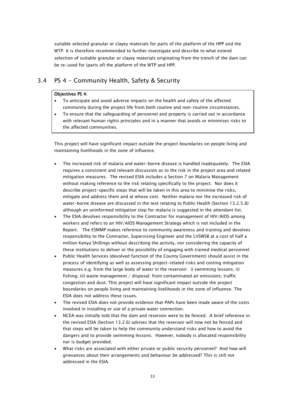suitable selected granular or clayey materials for parts of the platform of the HPP and the WTP. It is therefore recommended to further investigate and describe to what extend selection of suitable granular or clayey materials originating from the trench of the dam can be re-used for (parts of) the platform of the WTP and HPP.

## <span id="page-14-0"></span>3.4 PS 4 - Community Health, Safety & Security

### Objectives PS 4:

- To anticipate and avoid adverse impacts on the health and safety of the affected community during the project life from both routine and non-routine circumstances.
- To ensure that the safeguarding of personnel and property is carried out in accordance with relevant human rights principles and in a manner that avoids or minimises risks to the affected communities.

This project will have significant impact outside the project boundaries on people living and maintaining livelihoods in the zone of influence.

- The increased risk of malaria and water-borne disease is handled inadequately. The ESIA requires a consistent and relevant discussion as to the risk in the project area and related mitigation measures. The revised ESIA includes a Section 7 on Malaria Management without making reference to the risk relating specifically to the project. Nor does it describe project-specific steps that will be taken in this area to minimise the risks, mitigate and address them and at whose cost. Neither malaria nor the increased risk of water-borne disease are discussed in the text relating to Public Health (Section 13.2.5.8) although an uninformed mitigation step for malaria is suggested in the attendant list.
- The ESIA devolves responsibility to the Contractor for management of HIV/AIDS among workers and refers to an HIV/AIDS Management Strategy which is not included in the Report. The ESMMP makes reference to community awareness and training and devolves responsibility to the Contractor, Supervising Engineer and the LVSWSB at a cost of half a million Kenya Shillings without describing the activity, nor considering the capacity of these institutions to deliver or the possibility of engaging with trained medical personnel.
- Public Health Services (devolved function of the County Government) should assist in the process of identifying as well as assessing project-related risks and costing mitigation measures e.g. from the large body of water in the reservoir: i) swimming lessons; ii) fishing; iii) waste management / disposal; from contaminated air emissions; traffic congestion and dust. This project will have significant impact outside the project boundaries on people living and maintaining livelihoods in the zone of influence. The ESIA does not address these issues.
- The revised ESIA does not provide evidence that PAPs have been made aware of the costs involved in installing or use of a private water connection.
- NCEA was initially told that the dam and reservoir were to be fenced. A brief reference in the revised ESIA (Section 13.2.6) advises that the reservoir will now not be fenced and that steps will be taken to help the community understand risks and how to avoid the dangers and to provide swimming lessons. However, nobody is allocated responsibility nor is budget provided.
- What risks are associated with either private or public security personnel? And how will grievances about their arrangements and behaviour be addressed? This is still not addressed in the ESIA.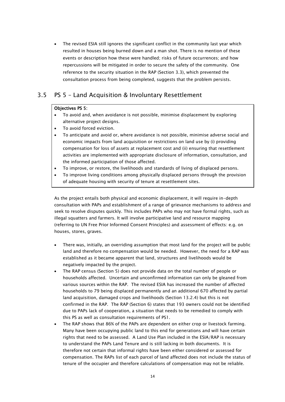The revised ESIA still ignores the significant conflict in the community last year which resulted in houses being burned down and a man shot. There is no mention of these events or description how these were handled; risks of future occurrences; and how repercussions will be mitigated in order to secure the safety of the community. One reference to the security situation in the RAP (Section 3.3), which prevented the consultation process from being completed, suggests that the problem persists.

## <span id="page-15-0"></span>3.5 PS 5 – Land Acquisition & Involuntary Resettlement

### Objectives PS 5:

- To avoid and, when avoidance is not possible, minimise displacement by exploring alternative project designs.
- To avoid forced eviction.
- To anticipate and avoid or, where avoidance is not possible, minimise adverse social and economic impacts from land acquisition or restrictions on land use by (i) providing compensation for loss of assets at replacement cost and (ii) ensuring that resettlement activities are implemented with appropriate disclosure of information, consultation, and the informed participation of those affected.
- To improve, or restore, the livelihoods and standards of living of displaced persons.
- To improve living conditions among physically displaced persons through the provision of adequate housing with security of tenure at resettlement sites.

As the project entails both physical and economic displacement, it will require in-depth consultation with PAPs and establishment of a range of grievance mechanisms to address and seek to resolve disputes quickly. This includes PAPs who may not have formal rights, such as illegal squatters and farmers. It will involve participative land and resource mapping (referring to UN Free Prior Informed Consent Principles) and assessment of effects: e.g. on houses, stores, graves.

- There was, initially, an overriding assumption that most land for the project will be public land and therefore no compensation would be needed. However, the need for a RAP was established as it became apparent that land, structures and livelihoods would be negatively impacted by the project.
- The RAP census (Section 5) does not provide data on the total number of people or households affected. Uncertain and unconfirmed information can only be gleaned from various sources within the RAP. The revised ESIA has increased the number of affected households to 79 being displaced permanently and an additional 670 affected by partial land acquisition, damaged crops and livelihoods (Section 13.2.4) but this is not confirmed in the RAP. The RAP (Section 6) states that 193 owners could not be identified due to PAPs lack of cooperation, a situation that needs to be remedied to comply with this PS as well as consultation requirements of PS1.
- The RAP shows that 86% of the PAPs are dependent on either crop or livestock farming. Many have been occupying public land to this end for generations and will have certain rights that need to be assessed. A Land Use Plan included in the ESIA/RAP is necessary to understand the PAPs Land Tenure and is still lacking in both documents. It is therefore not certain that informal rights have been either considered or assessed for compensation. The RAPs list of each parcel of land affected does not include the status of tenure of the occupier and therefore calculations of compensation may not be reliable.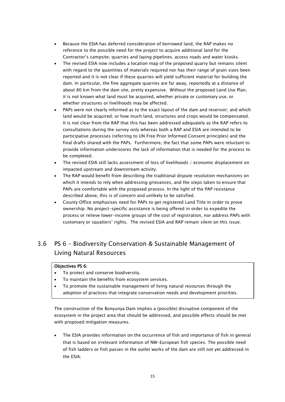- Because the ESIA has deferred consideration of borrowed land, the RAP makes no reference to the possible need for the project to acquire additional land for the Contractor's campsite; quarries and laying pipelines; access roads and water kiosks.
- The revised ESIA now includes a location map of the proposed quarry but remains silent with regard to the quantities of materials required nor has their range of grain sizes been reported and it is not clear if these quarries will yield sufficient material for building the dam. In particular, the fine aggregate quarries are far away, reportedly at a distance of about 80 km from the dam site, pretty expensive. Without the proposed Land Use Plan, it is not known what land must be acquired, whether private or customary use, or whether structures or livelihoods may be affected.
- PAPs were not clearly informed as to the exact layout of the dam and reservoir; and which land would be acquired; or how much land, structures and crops would be compensated. It is not clear from the RAP that this has been addressed adequately as the RAP refers to consultations during the survey only whereas both a RAP and ESIA are intended to be participative processes (referring to UN Free Prior Informed Consent principles) and the final drafts shared with the PAPs. Furthermore, the fact that some PAPs were reluctant to provide information underscores the lack of information that is needed for the process to be completed.
- The revised ESIA still lacks assessment of loss of livelihoods / economic displacement on impacted upstream and downstream activity.
- The RAP would benefit from describing the traditional dispute resolution mechanisms on which it intends to rely when addressing grievances, and the steps taken to ensure that PAPs are comfortable with the proposed process. In the light of the PAP resistance described above, this is of concern and unlikely to be satisfied.
- County Office emphasises need for PAPs to get registered Land Title in order to prove ownership. No project-specific assistance is being offered in order to expedite the process or relieve lower-income groups of the cost of registration, nor address PAPs with customary or squatters' rights. The revised ESIA and RAP remain silent on this issue.

# <span id="page-16-0"></span>3.6 PS 6 – Biodiversity Conservation & Sustainable Management of Living Natural Resources

### Objectives PS 6:

- To protect and conserve biodiversity.
- To maintain the benefits from ecosystem services.
- To promote the sustainable management of living natural resources through the adoption of practices that integrate conservation needs and development priorities.

The construction of the Bonyunya Dam implies a (possible) disruptive component of the ecosystem in the project area that should be addressed, and possible effects should be met with proposed mitigation measures.

• The ESIA provides information on the occurrence of fish and importance of fish in general that is based on irrelevant information of NW-European fish species. The possible need of fish ladders or fish passes in the outlet works of the dam are still not yet addressed in the ESIA;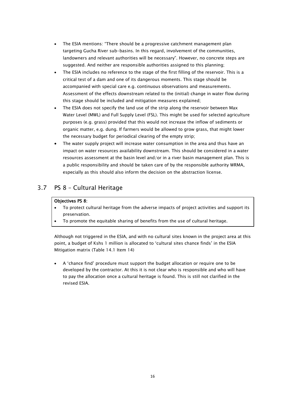- The ESIA mentions: "There should be a progressive catchment management plan targeting Gucha River sub-basins. In this regard, involvement of the communities, landowners and relevant authorities will be necessary". However, no concrete steps are suggested. And neither are responsible authorities assigned to this planning;
- The ESIA includes no reference to the stage of the first filling of the reservoir. This is a critical test of a dam and one of its dangerous moments. This stage should be accompanied with special care e.g. continuous observations and measurements. Assessment of the effects downstream related to the (initial) change in water flow during this stage should be included and mitigation measures explained;
- The ESIA does not specify the land use of the strip along the reservoir between Max Water Level (MWL) and Full Supply Level (FSL). This might be used for selected agriculture purposes (e.g. grass) provided that this would not increase the inflow of sediments or organic matter, e.g. dung. If farmers would be allowed to grow grass, that might lower the necessary budget for periodical clearing of the empty strip;
- The water supply project will increase water consumption in the area and thus have an impact on water resources availability downstream. This should be considered in a water resources assessment at the basin level and/or in a river basin management plan. This is a public responsibility and should be taken care of by the responsible authority WRMA, especially as this should also inform the decision on the abstraction license.

# <span id="page-17-0"></span>3.7 PS 8 – Cultural Heritage

### Objectives PS 8:

- To protect cultural heritage from the adverse impacts of project activities and support its preservation.
- To promote the equitable sharing of benefits from the use of cultural heritage.

Although not triggered in the ESIA, and with no cultural sites known in the project area at this point, a budget of Kshs 1 million is allocated to 'cultural sites chance finds' in the ESIA Mitigation matrix (Table 14.1 Item 14)

• A 'chance find' procedure must support the budget allocation or require one to be developed by the contractor. At this it is not clear who is responsible and who will have to pay the allocation once a cultural heritage is found. This is still not clarified in the revised ESIA.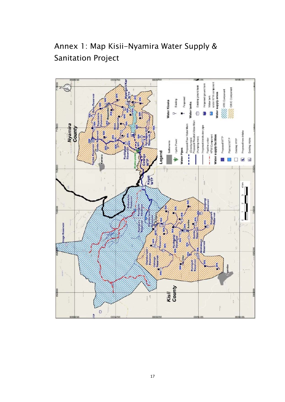

<span id="page-18-0"></span>Annex 1: Map Kisii-Nyamira Water Supply & Sanitation Project